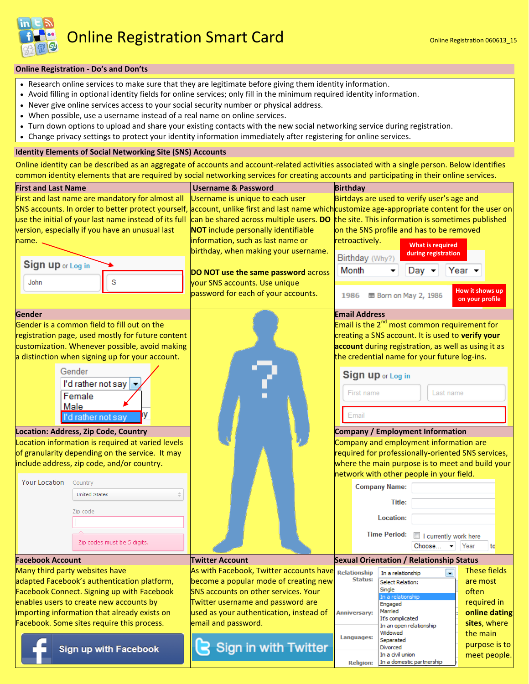Online Registration Smart Card **Card Cannon Conline Registration 060613\_15** 

## **Online Registration - Do's and Don'ts**

- Research online services to make sure that they are legitimate before giving them identity information.
- Avoid filling in optional identity fields for online services; only fill in the minimum required identity information.
- Never give online services access to your social security number or physical address.
- When possible, use a username instead of a real name on online services.
- Turn down options to upload and share your existing contacts with the new social networking service during registration.
- Change privacy settings to protect your identity information immediately after registering for online services.

## **Identity Elements of Social Networking Site (SNS) Accounts**

Online identity can be described as an aggregate of accounts and account-related activities associated with a single person. Below identifies common identity elements that are required by social networking services for creating accounts and participating in their online services.

| common identity elements that are required by social networking services for creating accounts and participating in their online services. |                                                                              |                                                                                                                                                 |  |  |  |  |
|--------------------------------------------------------------------------------------------------------------------------------------------|------------------------------------------------------------------------------|-------------------------------------------------------------------------------------------------------------------------------------------------|--|--|--|--|
| <b>First and Last Name</b>                                                                                                                 | <b>Username &amp; Password</b>                                               | <b>Birthday</b>                                                                                                                                 |  |  |  |  |
| First and last name are mandatory for almost all                                                                                           | Username is unique to each user                                              | Birtdays are used to verify user's age and                                                                                                      |  |  |  |  |
|                                                                                                                                            |                                                                              | SNS accounts. In order to better protect yourself, account, unlike first and last name which customize age-appropriate content for the user on  |  |  |  |  |
|                                                                                                                                            |                                                                              | use the initial of your last name instead of its full can be shared across multiple users. DO the site. This information is sometimes published |  |  |  |  |
| version, especially if you have an unusual last                                                                                            | <b>NOT</b> include personally identifiable                                   | on the SNS profile and has to be removed                                                                                                        |  |  |  |  |
| name.                                                                                                                                      | information, such as last name or                                            | retroactively.<br><b>What is required</b>                                                                                                       |  |  |  |  |
|                                                                                                                                            | birthday, when making your username.                                         | during registration                                                                                                                             |  |  |  |  |
| Sign up or Log in                                                                                                                          |                                                                              | Birthday (Why?)<br>Month<br>Year $\sim$                                                                                                         |  |  |  |  |
|                                                                                                                                            | DO NOT use the same password across                                          | Day $\blacktriangledown$                                                                                                                        |  |  |  |  |
| S<br>John                                                                                                                                  | your SNS accounts. Use unique                                                | How it shows up                                                                                                                                 |  |  |  |  |
|                                                                                                                                            | password for each of your accounts.                                          | <b>图 Born on May 2, 1986</b><br>1986<br>on your profile                                                                                         |  |  |  |  |
| Gender                                                                                                                                     |                                                                              | <b>Email Address</b>                                                                                                                            |  |  |  |  |
| Gender is a common field to fill out on the                                                                                                |                                                                              | Email is the 2 <sup>nd</sup> most common requirement for                                                                                        |  |  |  |  |
| registration page, used mostly for future content                                                                                          |                                                                              | creating a SNS account. It is used to verify your                                                                                               |  |  |  |  |
| customization. Whenever possible, avoid making                                                                                             |                                                                              | account during registration, as well as using it as                                                                                             |  |  |  |  |
| a distinction when signing up for your account.                                                                                            |                                                                              | the credential name for your future log-ins.                                                                                                    |  |  |  |  |
| Gender                                                                                                                                     |                                                                              | Sign up or Log in                                                                                                                               |  |  |  |  |
| I'd rather not say                                                                                                                         |                                                                              |                                                                                                                                                 |  |  |  |  |
| Female                                                                                                                                     |                                                                              | First name<br>Last name                                                                                                                         |  |  |  |  |
| Male                                                                                                                                       |                                                                              |                                                                                                                                                 |  |  |  |  |
| I'd rather not say                                                                                                                         |                                                                              | Email                                                                                                                                           |  |  |  |  |
| Location: Address, Zip Code, Country                                                                                                       |                                                                              | <b>Company / Employment Information</b>                                                                                                         |  |  |  |  |
| Location information is required at varied levels                                                                                          |                                                                              | Company and employment information are                                                                                                          |  |  |  |  |
| of granularity depending on the service. It may                                                                                            |                                                                              | required for professionally-oriented SNS services,                                                                                              |  |  |  |  |
| include address, zip code, and/or country.                                                                                                 |                                                                              | where the main purpose is to meet and build your                                                                                                |  |  |  |  |
|                                                                                                                                            |                                                                              | network with other people in your field.                                                                                                        |  |  |  |  |
| <b>Your Location</b><br>Country<br><b>United States</b>                                                                                    |                                                                              | <b>Company Name:</b>                                                                                                                            |  |  |  |  |
|                                                                                                                                            |                                                                              | Title:                                                                                                                                          |  |  |  |  |
| Zip code                                                                                                                                   |                                                                              | Location:                                                                                                                                       |  |  |  |  |
|                                                                                                                                            |                                                                              |                                                                                                                                                 |  |  |  |  |
| Zip codes must be 5 digits.                                                                                                                |                                                                              | <b>Time Period:</b><br>I currently work here                                                                                                    |  |  |  |  |
|                                                                                                                                            |                                                                              | Year<br>Choose<br>to                                                                                                                            |  |  |  |  |
| <b>Facebook Account</b>                                                                                                                    | <b>Twitter Account</b>                                                       | <b>Sexual Orientation / Relationship Status</b>                                                                                                 |  |  |  |  |
| Many third party websites have                                                                                                             | As with Facebook, Twitter accounts have                                      | These fields<br>$\blacksquare$<br><b>Relationship</b><br>In a relationship<br><b>Status:</b>                                                    |  |  |  |  |
| adapted Facebook's authentication platform,                                                                                                | become a popular mode of creating new                                        | are most<br><b>Select Relation:</b><br>Single                                                                                                   |  |  |  |  |
| <b>Facebook Connect. Signing up with Facebook</b>                                                                                          | <b>SNS accounts on other services. Your</b>                                  | often<br>In a relationship<br>required in                                                                                                       |  |  |  |  |
| enables users to create new accounts by<br>importing information that already exists on                                                    | Twitter username and password are<br>used as your authentication, instead of | Engaged<br>Married<br>online dating<br><b>Anniversary:</b>                                                                                      |  |  |  |  |
| Facebook. Some sites require this process.                                                                                                 | email and password.                                                          | It's complicated<br>sites, where                                                                                                                |  |  |  |  |
|                                                                                                                                            |                                                                              | In an open relationship<br>Widowed<br>the main                                                                                                  |  |  |  |  |
|                                                                                                                                            |                                                                              | Languages:<br>Separated<br>purpose is to                                                                                                        |  |  |  |  |
| <b>Sign up with Facebook</b>                                                                                                               | <b>Sign in with Twitter</b>                                                  | Divorced<br>In a civil union<br>meet people.                                                                                                    |  |  |  |  |
|                                                                                                                                            |                                                                              | In a domestic partnership<br><b>Religion:</b>                                                                                                   |  |  |  |  |